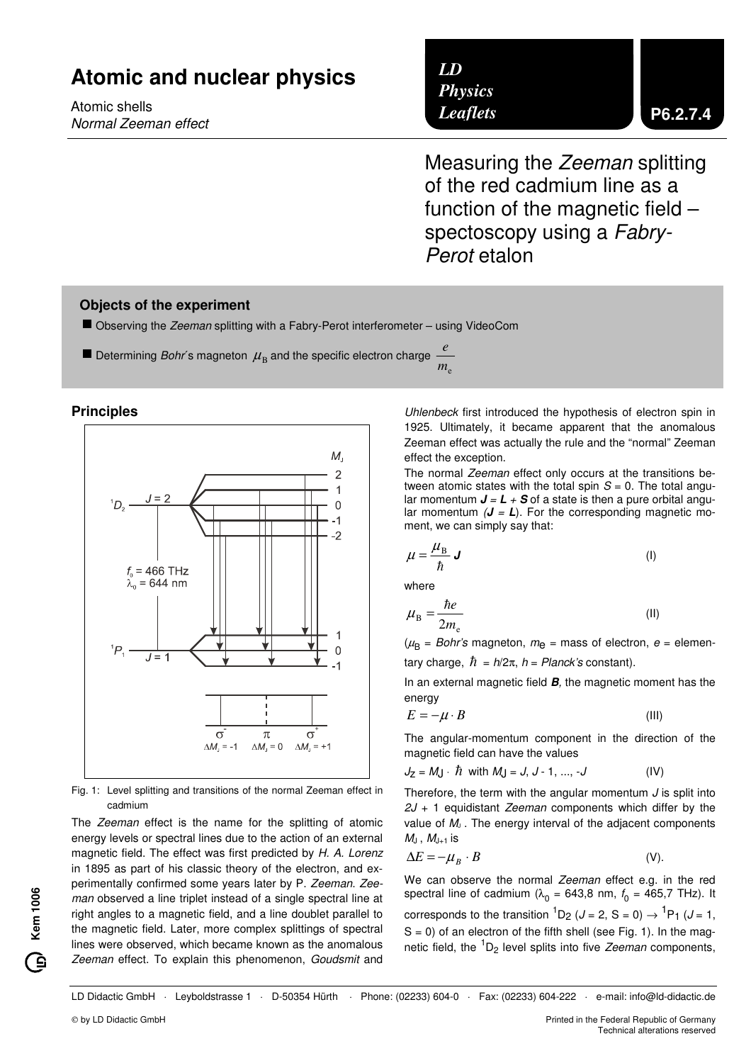# **Atomic and nuclear physics**

Atomic shells Normal Zeeman effect

## *LD Physics Leaflets*

Measuring the Zeeman splitting of the red cadmium line as a function of the magnetic field – spectoscopy using a Fabry-Perot etalon

## **Objects of the experiment**

■ Observing the Zeeman splitting with a Fabry-Perot interferometer – using VideoCom

 $\blacksquare$  Determining *Bohr*´s magneton  $\mu$ <sub>B</sub> and the specific electron charge  $m<sub>e</sub>$ *e*

#### **Principles**



Fig. 1: Level splitting and transitions of the normal Zeeman effect in cadmium

The Zeeman effect is the name for the splitting of atomic energy levels or spectral lines due to the action of an external magnetic field. The effect was first predicted by H. A. Lorenz in 1895 as part of his classic theory of the electron, and experimentally confirmed some years later by P. Zeeman. Zeeman observed a line triplet instead of a single spectral line at right angles to a magnetic field, and a line doublet parallel to the magnetic field. Later, more complex splittings of spectral lines were observed, which became known as the anomalous Zeeman effect. To explain this phenomenon, Goudsmit and

Uhlenbeck first introduced the hypothesis of electron spin in 1925. Ultimately, it became apparent that the anomalous Zeeman effect was actually the rule and the "normal" Zeeman effect the exception.

The normal Zeeman effect only occurs at the transitions between atomic states with the total spin  $S = 0$ . The total angular momentum  $J = L + S$  of a state is then a pure orbital angular momentum  $(J = L)$ . For the corresponding magnetic moment, we can simply say that:

$$
\mu = \frac{\mu_{\rm B}}{\hbar} \mathbf{J} \tag{I}
$$

where

$$
\mu_{\rm B} = \frac{\hbar e}{2m_{\rm e}}\tag{II}
$$

 $(\mu_{\sf B} = {\it Bohr}$ 's magneton,  $m_{\sf C}$  = mass of electron,  $e$  = elementary charge,  $\hbar = h/2\pi$ ,  $h = Planck's$  constant).

In an external magnetic field **B**, the magnetic moment has the energy

$$
E = -\mu \cdot B \tag{III}
$$

The angular-momentum component in the direction of the magnetic field can have the values

$$
J_Z = MJ \cdot \hbar
$$
 with  $M_J = J, J - 1, ..., -J$  (IV)

Therefore, the term with the angular momentum  $J$  is split into  $2J + 1$  equidistant Zeeman components which differ by the value of  $M_J$ . The energy interval of the adjacent components  $M_J$ ,  $M_{J+1}$  is

$$
\Delta E = -\mu_B \cdot B \tag{V}.
$$

We can observe the normal Zeeman effect e.g. in the red spectral line of cadmium ( $\lambda_0$  = 643,8 nm,  $f_0$  = 465,7 THz). It corresponds to the transition  ${}^{1}D_2$  (*J* = 2, S = 0)  $\rightarrow$   ${}^{1}P_1$  (*J* = 1,  $S = 0$ ) of an electron of the fifth shell (see Fig. 1). In the magnetic field, the  ${}^{1}D_{2}$  level splits into five Zeeman components,

LD Didactic GmbH Leyboldstrasse 1 · D-50354 Hürth Phone: (02233) 604-0 · Fax: (02233) 604-222 · e-mail: info@ld-didactic.de

**Kem 1006**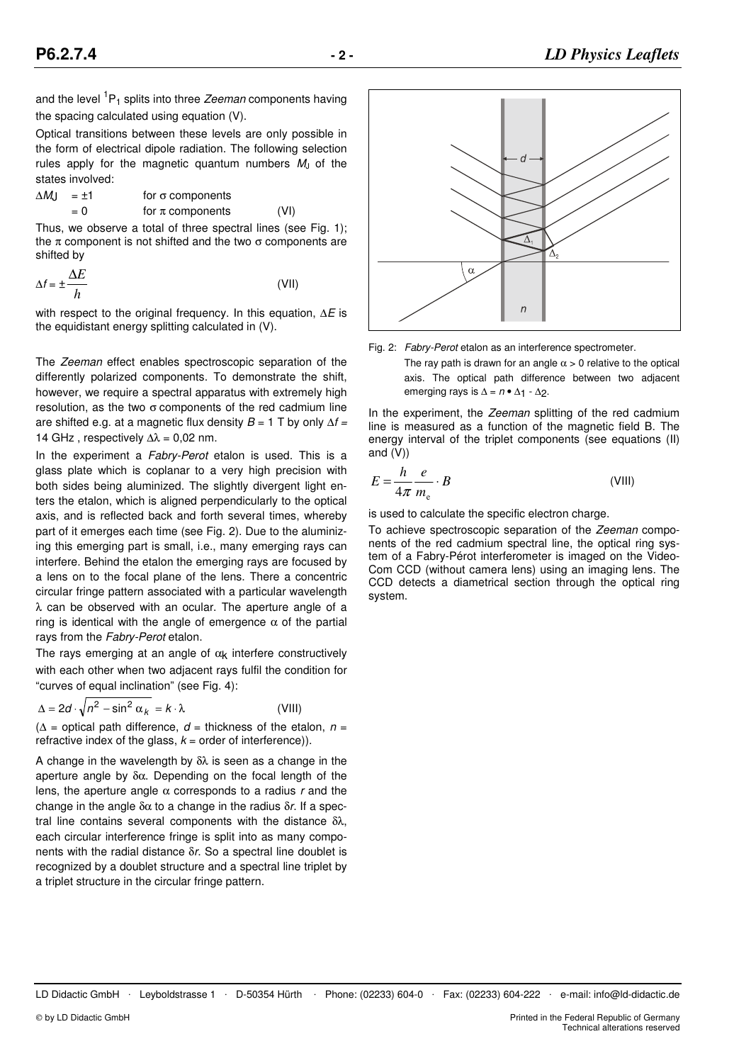and the level <sup>1</sup>P<sub>1</sub> splits into three *Zeeman* components having the spacing calculated using equation (V).

Optical transitions between these levels are only possible in the form of electrical dipole radiation. The following selection rules apply for the magnetic quantum numbers  $M_J$  of the states involved:

$$
\Delta M_J = \pm 1
$$
 for  $\sigma$  components  
= 0 for  $\pi$  components (VI)

Thus, we observe a total of three spectral lines (see Fig. 1); the π component is not shifted and the two  $σ$  components are shifted by

$$
\Delta f = \pm \frac{\Delta E}{h}
$$
 (VII)

with respect to the original frequency. In this equation,  $\Delta E$  is the equidistant energy splitting calculated in (V).

The Zeeman effect enables spectroscopic separation of the differently polarized components. To demonstrate the shift, however, we require a spectral apparatus with extremely high resolution, as the two σ components of the red cadmium line are shifted e.g. at a magnetic flux density  $B = 1$  T by only  $\Delta f =$ 14 GHz, respectively  $\Delta\lambda = 0.02$  nm.

In the experiment a Fabry-Perot etalon is used. This is a glass plate which is coplanar to a very high precision with both sides being aluminized. The slightly divergent light enters the etalon, which is aligned perpendicularly to the optical axis, and is reflected back and forth several times, whereby part of it emerges each time (see Fig. 2). Due to the aluminizing this emerging part is small, i.e., many emerging rays can interfere. Behind the etalon the emerging rays are focused by a lens on to the focal plane of the lens. There a concentric circular fringe pattern associated with a particular wavelength  $\lambda$  can be observed with an ocular. The aperture angle of a ring is identical with the angle of emergence  $\alpha$  of the partial rays from the Fabry-Perot etalon.

The rays emerging at an angle of  $\alpha_k$  interfere constructively with each other when two adjacent rays fulfil the condition for "curves of equal inclination" (see Fig. 4):

$$
\Delta = 2d \cdot \sqrt{n^2 - \sin^2 \alpha_k} = k \cdot \lambda
$$
 (VIII)

 $(\Delta =$  optical path difference,  $d =$  thickness of the etalon,  $n =$ refractive index of the glass,  $k =$  order of interference)).

A change in the wavelength by δλ is seen as a change in the aperture angle by δα. Depending on the focal length of the lens, the aperture angle  $\alpha$  corresponds to a radius r and the change in the angle  $δα$  to a change in the radius  $δr$ . If a spectral line contains several components with the distance δλ, each circular interference fringe is split into as many components with the radial distance δr. So a spectral line doublet is recognized by a doublet structure and a spectral line triplet by a triplet structure in the circular fringe pattern.



Fig. 2: Fabry-Perot etalon as an interference spectrometer.

The ray path is drawn for an angle  $\alpha > 0$  relative to the optical axis. The optical path difference between two adjacent emerging rays is  $\Delta = n \cdot \Delta_1 \cdot \Delta_2$ .

In the experiment, the Zeeman splitting of the red cadmium line is measured as a function of the magnetic field B. The energy interval of the triplet components (see equations (II) and (V))

$$
E = \frac{h}{4\pi} \frac{e}{m_e} \cdot B
$$
 (VIII)

is used to calculate the specific electron charge.

To achieve spectroscopic separation of the Zeeman components of the red cadmium spectral line, the optical ring system of a Fabry-Pérot interferometer is imaged on the Video-Com CCD (without camera lens) using an imaging lens. The CCD detects a diametrical section through the optical ring system.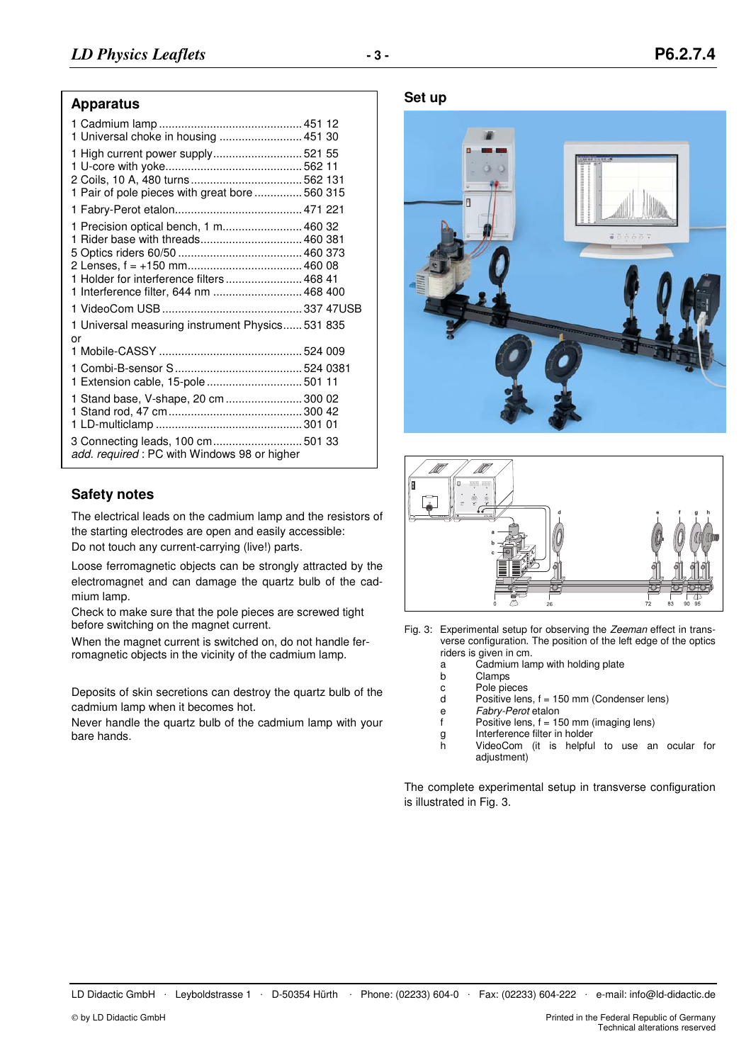#### **Apparatus**

| 1 Universal choke in housing  451 30                                                                                                                              |  |
|-------------------------------------------------------------------------------------------------------------------------------------------------------------------|--|
| 1 High current power supply 521 55<br>1 Pair of pole pieces with great bore  560 315                                                                              |  |
|                                                                                                                                                                   |  |
| 1 Precision optical bench, 1 m 460 32<br>1 Rider base with threads 460 381<br>1 Holder for interference filters  468 41<br>1 Interference filter, 644 nm  468 400 |  |
|                                                                                                                                                                   |  |
| 1 Universal measuring instrument Physics 531 835<br>or                                                                                                            |  |
|                                                                                                                                                                   |  |
| 1 Extension cable, 15-pole  501 11                                                                                                                                |  |
| 1 Stand base, V-shape, 20 cm  300 02                                                                                                                              |  |
| 3 Connecting leads, 100 cm 501 33<br>add. required : PC with Windows 98 or higher                                                                                 |  |
|                                                                                                                                                                   |  |

## **Safety notes**

The electrical leads on the cadmium lamp and the resistors of the starting electrodes are open and easily accessible: Do not touch any current-carrying (live!) parts.

Loose ferromagnetic objects can be strongly attracted by the electromagnet and can damage the quartz bulb of the cadmium lamp.

Check to make sure that the pole pieces are screwed tight before switching on the magnet current.

When the magnet current is switched on, do not handle ferromagnetic objects in the vicinity of the cadmium lamp.

Deposits of skin secretions can destroy the quartz bulb of the cadmium lamp when it becomes hot.

Never handle the quartz bulb of the cadmium lamp with your bare hands.

**Set up** 





- Fig. 3: Experimental setup for observing the Zeeman effect in transverse configuration. The position of the left edge of the optics riders is given in cm.
	- a Cadmium lamp with holding plate
	- b Clamps<br>c Pole pie
	- c Pole pieces<br>d Positive lens
	- Positive lens,  $f = 150$  mm (Condenser lens)
	- e *Fabry-Perot* etalon<br>f Positive lens, f = 15
	- Positive lens,  $f = 150$  mm (imaging lens)
	- g Interference filter in holder
		- h VideoCom (it is helpful to use an ocular for adjustment)

The complete experimental setup in transverse configuration is illustrated in Fig. 3.

LD Didactic GmbH . Leyboldstrasse 1 . D-50354 Hürth . Phone: (02233) 604-0 . Fax: (02233) 604-222 . e-mail: info@ld-didactic.de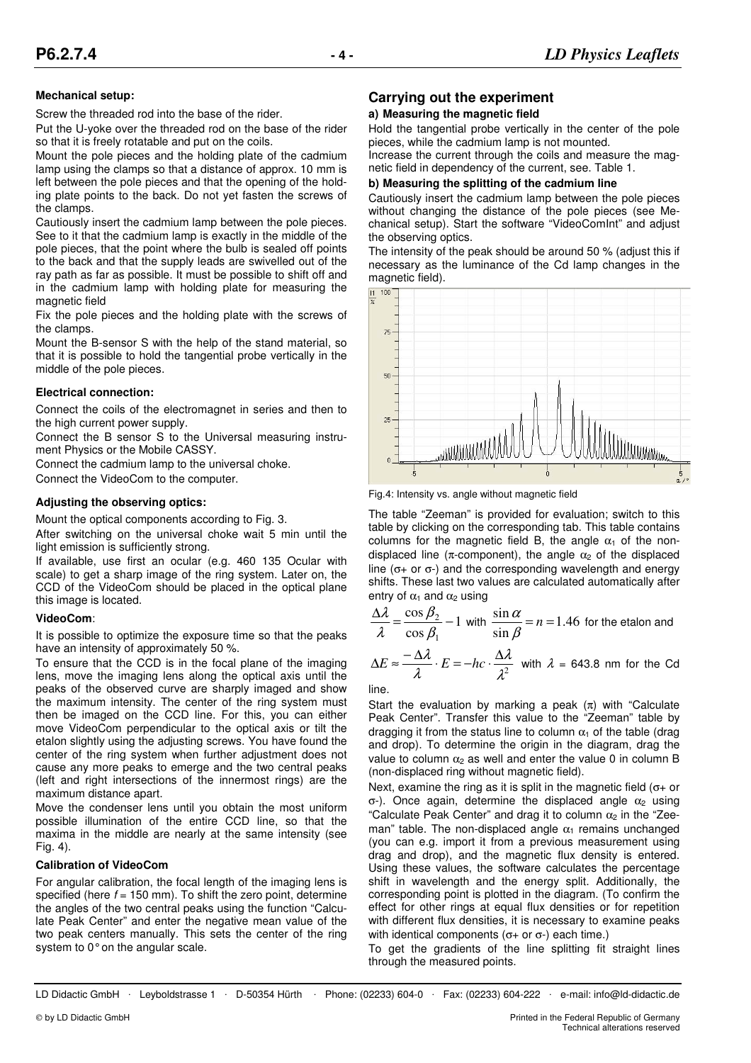#### **Mechanical setup:**

Screw the threaded rod into the base of the rider.

Put the U-yoke over the threaded rod on the base of the rider so that it is freely rotatable and put on the coils.

Mount the pole pieces and the holding plate of the cadmium lamp using the clamps so that a distance of approx. 10 mm is left between the pole pieces and that the opening of the holding plate points to the back. Do not yet fasten the screws of the clamps.

Cautiously insert the cadmium lamp between the pole pieces. See to it that the cadmium lamp is exactly in the middle of the pole pieces, that the point where the bulb is sealed off points to the back and that the supply leads are swivelled out of the ray path as far as possible. It must be possible to shift off and in the cadmium lamp with holding plate for measuring the magnetic field

Fix the pole pieces and the holding plate with the screws of the clamps.

Mount the B-sensor S with the help of the stand material, so that it is possible to hold the tangential probe vertically in the middle of the pole pieces.

#### **Electrical connection:**

Connect the coils of the electromagnet in series and then to the high current power supply.

Connect the B sensor S to the Universal measuring instrument Physics or the Mobile CASSY.

Connect the cadmium lamp to the universal choke.

Connect the VideoCom to the computer.

#### **Adjusting the observing optics:**

Mount the optical components according to Fig. 3.

After switching on the universal choke wait 5 min until the light emission is sufficiently strong.

If available, use first an ocular (e.g. 460 135 Ocular with scale) to get a sharp image of the ring system. Later on, the CCD of the VideoCom should be placed in the optical plane this image is located.

#### **VideoCom**:

It is possible to optimize the exposure time so that the peaks have an intensity of approximately 50 %.

To ensure that the CCD is in the focal plane of the imaging lens, move the imaging lens along the optical axis until the peaks of the observed curve are sharply imaged and show the maximum intensity. The center of the ring system must then be imaged on the CCD line. For this, you can either move VideoCom perpendicular to the optical axis or tilt the etalon slightly using the adjusting screws. You have found the center of the ring system when further adjustment does not cause any more peaks to emerge and the two central peaks (left and right intersections of the innermost rings) are the maximum distance apart.

Move the condenser lens until you obtain the most uniform possible illumination of the entire CCD line, so that the maxima in the middle are nearly at the same intensity (see Fig. 4).

#### **Calibration of VideoCom**

For angular calibration, the focal length of the imaging lens is specified (here  $f = 150$  mm). To shift the zero point, determine the angles of the two central peaks using the function "Calculate Peak Center" and enter the negative mean value of the two peak centers manually. This sets the center of the ring system to 0° on the angular scale.

## **Carrying out the experiment**

#### **a) Measuring the magnetic field**

Hold the tangential probe vertically in the center of the pole pieces, while the cadmium lamp is not mounted.

Increase the current through the coils and measure the magnetic field in dependency of the current, see. Table 1.

#### **b) Measuring the splitting of the cadmium line**

Cautiously insert the cadmium lamp between the pole pieces without changing the distance of the pole pieces (see Mechanical setup). Start the software "VideoComInt" and adjust the observing optics.

The intensity of the peak should be around 50 % (adjust this if necessary as the luminance of the Cd lamp changes in the magnetic field).



Fig.4: Intensity vs. angle without magnetic field

The table "Zeeman" is provided for evaluation; switch to this table by clicking on the corresponding tab. This table contains columns for the magnetic field B, the angle  $\alpha_1$  of the nondisplaced line ( $\pi$ -component), the angle  $\alpha_2$  of the displaced line ( $σ$ + or  $σ$ -) and the corresponding wavelength and energy shifts. These last two values are calculated automatically after entry of  $\alpha_1$  and  $\alpha_2$  using

$$
\frac{\Delta\lambda}{\lambda} = \frac{\cos\beta_2}{\cos\beta_1} - 1
$$
 with  $\frac{\sin\alpha}{\sin\beta} = n = 1.46$  for the etalon and

$$
\Delta E \approx \frac{-\Delta \lambda}{\lambda} \cdot E = -hc \cdot \frac{\Delta \lambda}{\lambda^2}
$$
 with  $\lambda = 643.8$  nm for the Cd

line.

Start the evaluation by marking a peak  $(\pi)$  with "Calculate" Peak Center". Transfer this value to the "Zeeman" table by dragging it from the status line to column  $\alpha_1$  of the table (drag and drop). To determine the origin in the diagram, drag the value to column  $\alpha_2$  as well and enter the value 0 in column B (non-displaced ring without magnetic field).

Next, examine the ring as it is split in the magnetic field ( $\sigma$ + or σ-). Once again, determine the displaced angle  $\alpha_2$  using "Calculate Peak Center" and drag it to column  $\alpha_2$  in the "Zeeman" table. The non-displaced angle  $\alpha_1$  remains unchanged (you can e.g. import it from a previous measurement using drag and drop), and the magnetic flux density is entered. Using these values, the software calculates the percentage shift in wavelength and the energy split. Additionally, the corresponding point is plotted in the diagram. (To confirm the effect for other rings at equal flux densities or for repetition with different flux densities, it is necessary to examine peaks with identical components ( $σ+$  or  $σ-)$  each time.)

To get the gradients of the line splitting fit straight lines through the measured points.

LD Didactic GmbH Leyboldstrasse 1 D-50354 Hürth Phone: (02233) 604-0 Fax: (02233) 604-222 e-mail: info@ld-didactic.de